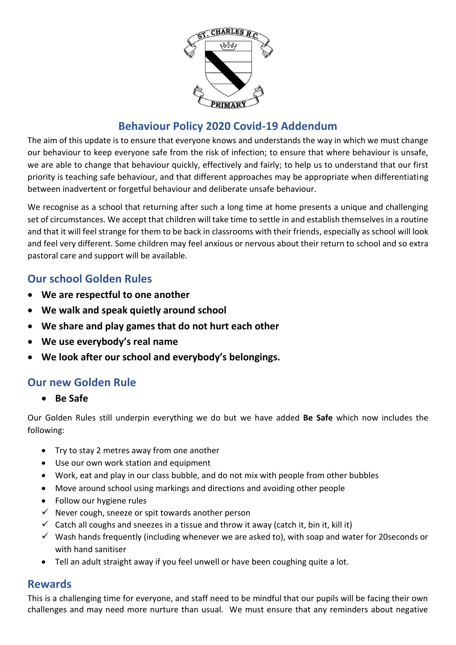

# **Behaviour Policy 2020 Covid-19 Addendum**

The aim of this update is to ensure that everyone knows and understands the way in which we must change our behaviour to keep everyone safe from the risk of infection; to ensure that where behaviour is unsafe, we are able to change that behaviour quickly, effectively and fairly; to help us to understand that our first priority is teaching safe behaviour, and that different approaches may be appropriate when differentiating between inadvertent or forgetful behaviour and deliberate unsafe behaviour.

We recognise as a school that returning after such a long time at home presents a unique and challenging set of circumstances. We accept that children will take time to settle in and establish themselves in a routine and that it will feel strange for them to be back in classrooms with their friends, especially as school will look and feel very different. Some children may feel anxious or nervous about their return to school and so extra pastoral care and support will be available.

## **Our school Golden Rules**

- **We are respectful to one another**
- **We walk and speak quietly around school**
- **We share and play games that do not hurt each other**
- **We use everybody's real name**
- **We look after our school and everybody's belongings.**

### **Our new Golden Rule**

• **Be Safe**

Our Golden Rules still underpin everything we do but we have added **Be Safe** which now includes the following:

- Try to stay 2 metres away from one another
- Use our own work station and equipment
- Work, eat and play in our class bubble, and do not mix with people from other bubbles
- Move around school using markings and directions and avoiding other people
- Follow our hygiene rules
- $\checkmark$  Never cough, sneeze or spit towards another person
- $\checkmark$  Catch all coughs and sneezes in a tissue and throw it away (catch it, bin it, kill it)
- $\checkmark$  Wash hands frequently (including whenever we are asked to), with soap and water for 20 seconds or with hand sanitiser
- Tell an adult straight away if you feel unwell or have been coughing quite a lot.

### **Rewards**

This is a challenging time for everyone, and staff need to be mindful that our pupils will be facing their own challenges and may need more nurture than usual. We must ensure that any reminders about negative